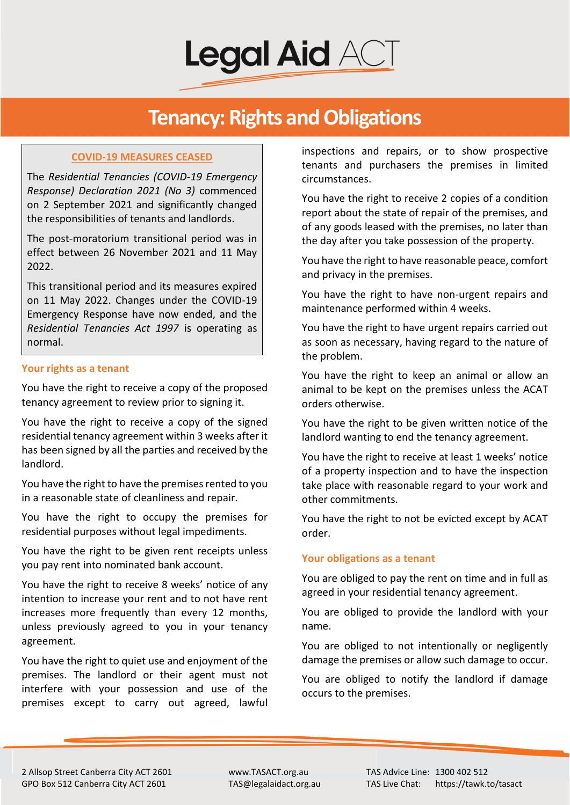**Legal Aid AC** 

## **Tenancy: Rights and Obligations**

### **COVID-19 MEASURES CEASED**

The *Residential Tenancies (COVID-19 Emergency Response) Declaration 2021 (No 3)* commenced on 2 September 2021 and significantly changed the responsibilities of tenants and landlords.

The post-moratorium transitional period was in effect between 26 November 2021 and 11 May 2022.

This transitional period and its measures expired on 11 May 2022. Changes under the COVID-19 Emergency Response have now ended, and the *Residential Tenancies Act 1997* is operating as normal.

#### **Your rights as a tenant**

You have the right to receive a copy of the proposed tenancy agreement to review prior to signing it.

You have the right to receive a copy of the signed residential tenancy agreement within 3 weeks after it has been signed by all the parties and received by the landlord.

You have the right to have the premises rented to you in a reasonable state of cleanliness and repair.

You have the right to occupy the premises for residential purposes without legal impediments.

You have the right to be given rent receipts unless you pay rent into nominated bank account.

You have the right to receive 8 weeks' notice of any intention to increase your rent and to not have rent increases more frequently than every 12 months, unless previously agreed to you in your tenancy agreement.

You have the right to quiet use and enjoyment of the premises. The landlord or their agent must not interfere with your possession and use of the premises except to carry out agreed, lawful

inspections and repairs, or to show prospective tenants and purchasers the premises in limited circumstances.

You have the right to receive 2 copies of a condition report about the state of repair of the premises, and of any goods leased with the premises, no later than the day after you take possession of the property.

You have the right to have reasonable peace, comfort and privacy in the premises.

You have the right to have non-urgent repairs and maintenance performed within 4 weeks.

You have the right to have urgent repairs carried out as soon as necessary, having regard to the nature of the problem.

You have the right to keep an animal or allow an animal to be kept on the premises unless the ACAT orders otherwise.

You have the right to be given written notice of the landlord wanting to end the tenancy agreement.

You have the right to receive at least 1 weeks' notice of a property inspection and to have the inspection take place with reasonable regard to your work and other commitments.

You have the right to not be evicted except by ACAT order.

## **Your obligations as a tenant**

You are obliged to pay the rent on time and in full as agreed in your residential tenancy agreement.

You are obliged to provide the landlord with your name.

You are obliged to not intentionally or negligently damage the premises or allow such damage to occur.

You are obliged to notify the landlord if damage occurs to the premises.